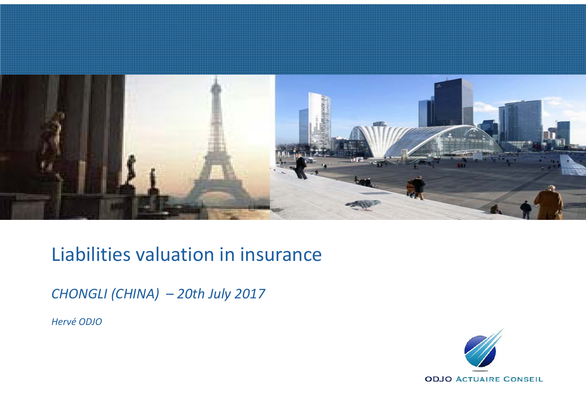

### Liabilities valuation in insurance

*CHONGLI (CHINA) – 20th July 2017*

*Hervé ODJO*

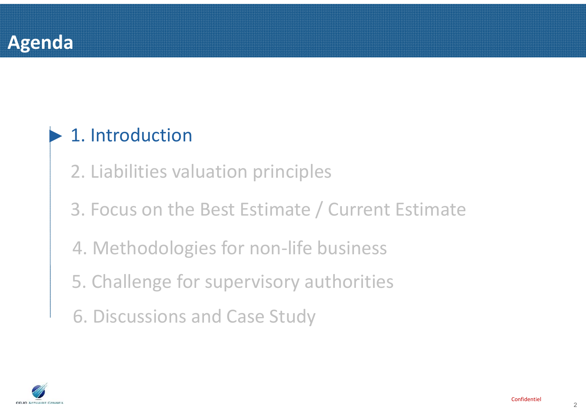### **Agenda**

#### ►1. Introduction

2. Liabilities valuation principles

3. Focus on the Best Estimate / Current Estimate

4. Methodologies for non-life business

5. Challenge for supervisory authorities

6. Discussions and Case Study

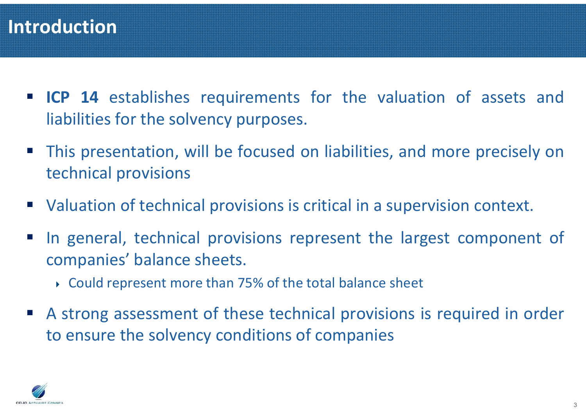#### **Introduction**

- **ICP 14** establishes requirements for the valuation of assets and liabilities for the solvency purposes.
- P) This presentation, will be focused on liabilities, and more precisely on technical provisions
- Valuation of technical provisions is critical in a supervision context.
- P) In general, technical provisions represent the largest component of companies' balance sheets.
	- Could represent more than 75% of the total balance sheet
- $\mathcal{L}^{\mathcal{L}}$  A strong assessment of these technical provisions is required in order to ensure the solvency conditions of companies

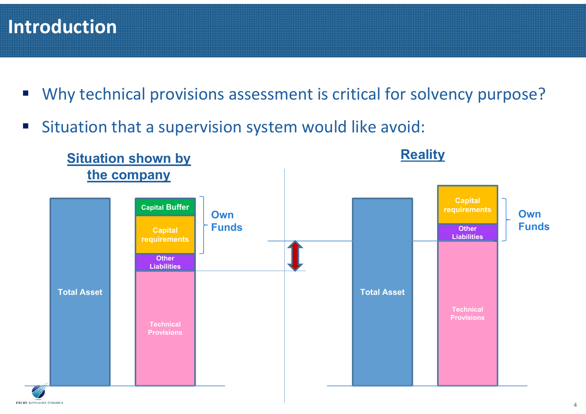#### **Introduction**

- $\mathcal{L}_{\mathcal{A}}$ Why technical provisions assessment is critical for solvency purpose?
- $\overline{\mathbb{R}}$ Situation that a supervision system would like avoid:

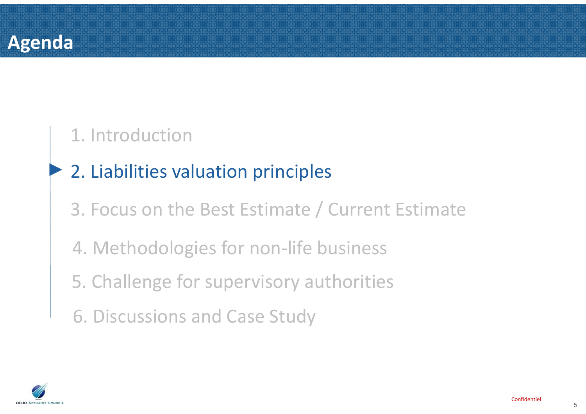

#### 1. Introduction

#### ►2. Liabilities valuation principles

3. Focus on the Best Estimate / Current Estimate

- 4. Methodologies for non-life business
- 5. Challenge for supervisory authorities
- 6. Discussions and Case Study

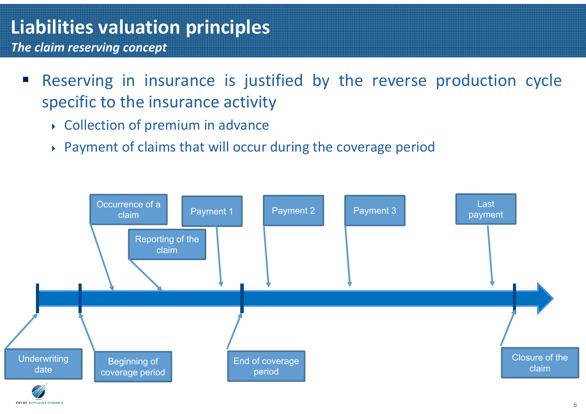*The claim reserving concept*

- P) Reserving in insurance is justified by the reverse production cycle specific to the insurance activity
	- Collection of premium in advance
	- Payment of claims that will occur during the coverage period

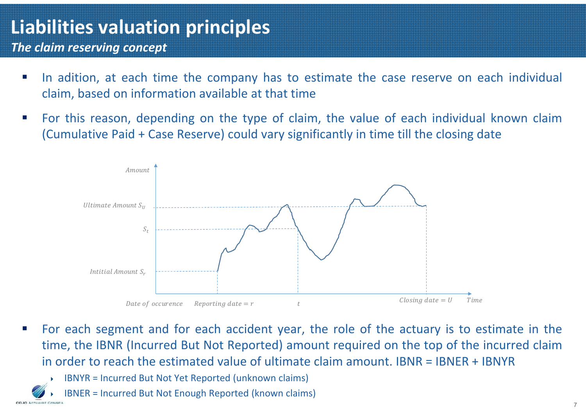*The claim reserving concept*

- In adition, at each time the company has to estimate the case reserve on each individual claim, based on information available at that time
- $\mathcal{L}_{\mathcal{A}}$  For this reason, depending on the type of claim, the value of each individual known claim (Cumulative Paid <sup>+</sup> Case Reserve) could vary significantly in time till the closing date



- For each segment and for each accident year, the role of the actuary is to estimate in the time, the IBNR (Incurred But Not Reported) amount required on the top of the incurred claim in order to reach the estimated value of ultimate claim amount. IBNR <sup>=</sup> IBNER <sup>+</sup> IBNYR
	- Þ IBNYR <sup>=</sup> Incurred But Not Yet Reported (unknown claims)
	- ▶ IBNER <sup>=</sup> Incurred But Not Enough Reported (known claims)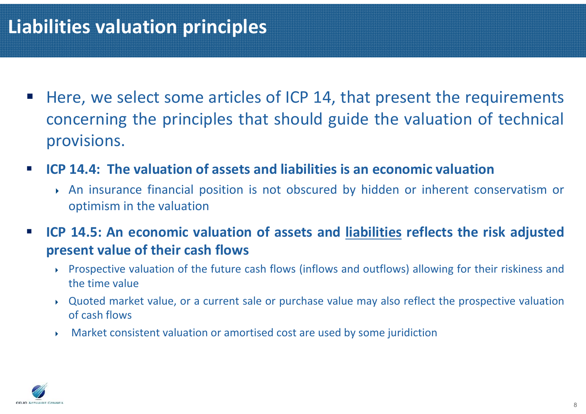- $\mathcal{L}^{\mathcal{L}}$  Here, we select some articles of ICP 14, that present the requirements concerning the principles that should guide the valuation of technical provisions.
- $\mathcal{L}_{\mathcal{A}}$ ■ ICP 14.4: The valuation of assets and liabilities is an economic valuation
	- An insurance financial position is not obscured by hidden or inherent conservatism or optimism in the valuation
- $\blacksquare$ ICP 14.5: An economic valuation of assets and liabilities reflects the risk adjusted **present value of their cash flows**
	- ▶ Prospective valuation of the future cash flows (inflows and outflows) allowing for their riskiness and the time value
	- ▶ Quoted market value, or <sup>a</sup> current sale or purchase value may also reflect the prospective valuation of cash flows
	- $\blacktriangleright$  . Market consistent valuation or amortised cost are used by some juridiction

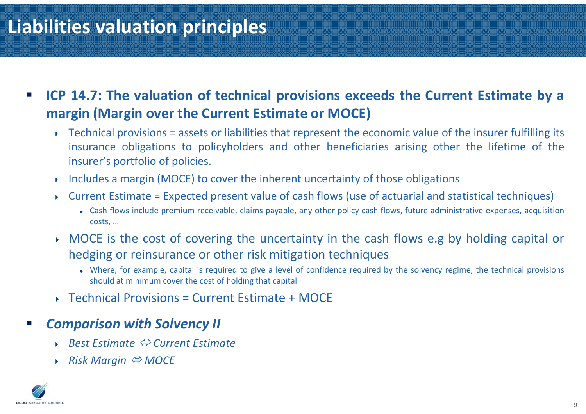- $\overline{\phantom{a}}$ ICP 14.7: The valuation of technical provisions exceeds the Current Estimate by a **margin (Margin over the Current Estimate or MOCE)**
	- ▶ Technical provisions <sup>=</sup> assets or liabilities that represent the economic value of the insurer fulfilling its insurance obligations to policyholders and other beneficiaries arising other the lifetime of the insurer's portfolio of policies.
	- ▶ Includes <sup>a</sup> margin (MOCE) to cover the inherent uncertainty of those obligations
	- ▶ Current Estimate <sup>=</sup> Expected present value of cash flows (use of actuarial and statistical techniques)
		- Cash flows include premium receivable, claims payable, any other policy cash flows, future administrative expenses, acquisition costs, …
	- MOCE is the cost of covering the uncertainty in the cash flows e.g by holding capital or hedging or reinsurance or other risk mitigation techniques
		- Where, for example, capital is required to give <sup>a</sup> level of confidence required by the solvency regime, the technical provisions should at minimum cover the cost of holding that capital
	- ◆ Technical Provisions = Current Estimate + MOCE
- $\mathbb{R}^n$  *Comparison with Solvency II*
	- *Best Estimate*  $\Leftrightarrow$  Current Estimate
	- **▶ Risk Margin**  $\Leftrightarrow$  **MOCE**

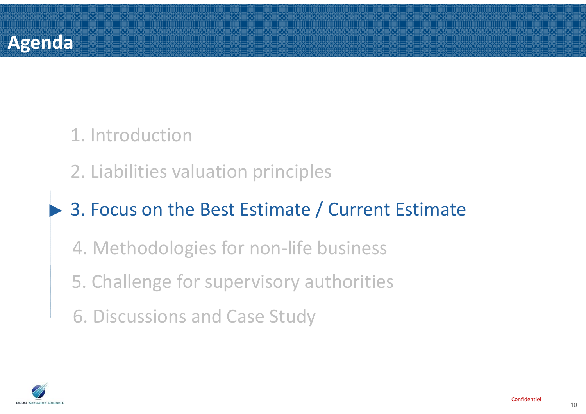

►

#### 1. Introduction

2. Liabilities valuation principles

### 3. Focus on the Best Estimate / Current Estimate

- 4. Methodologies for non-life business
- 5. Challenge for supervisory authorities
- 6. Discussions and Case Study

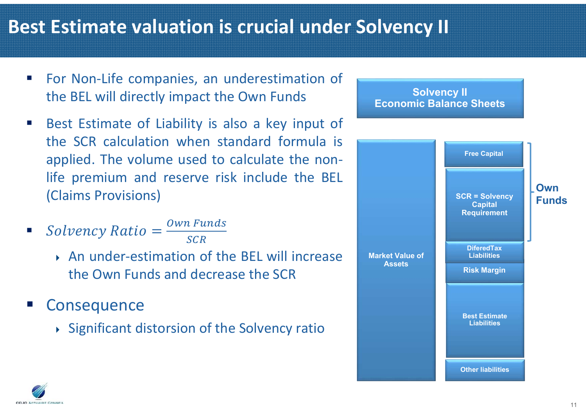#### **Best Estimate valuation is crucial under Solvency II**

- $\mathcal{L}_{\mathcal{A}}$  For Non-Life companies, an underestimation of the BEL will directly impact the Own Funds
- $\mathcal{L}_{\mathcal{A}}$  Best Estimate of Liability is also <sup>a</sup> key input of the SCR calculation when standard formula isapplied. The volume used to calculate the nonlife premium and reserve risk include the BEL (Claims Provisions)
- $\mathcal{L}_{\mathcal{A}}$  $Solvency Ratio = \frac{Own \text{ Funds}}{SCR}$ 
	- An under-estimation of the BEL will increase the Own Funds and decrease the SCR
- **Consequence** 
	- Significant distorsion of the Solvency ratio



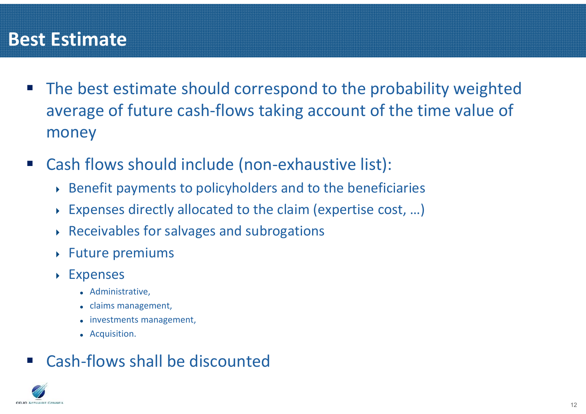#### **Best Estimate**

- $\mathcal{L}_{\mathcal{A}}$  The best estimate should correspond to the probability weighted average of future cash-flows taking account of the time value of money
- $\mathcal{L}_{\mathcal{A}}$  Cash flows should include (non-exhaustive list):
	- Benefit payments to policyholders and to the beneficiaries
	- Expenses directly allocated to the claim (expertise cost, …)
	- Receivables for salvages and subrogations
	- Future premiums
	- Expenses
		- Administrative,
		- claims management,
		- investments management,
		- Acquisition.

#### P) Cash-flows shall be discounted

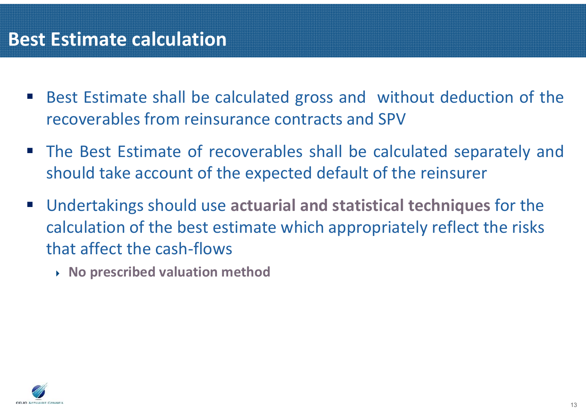#### **Best Estimate calculation**

- $\mathcal{L}_{\mathcal{A}}$  Best Estimate shall be calculated gross and without deduction of the recoverables from reinsurance contracts and SPV
- **The Best Estimate of recoverables shall be calculated separately and** should take account of the expected default of the reinsurer
- $\mathcal{L}^{\mathcal{A}}$  Undertakings should use **actuarial and statistical techniques** for the calculation of the best estimate which appropriately reflect the risks that affect the cash-flows
	- **No prescribed valuation method**

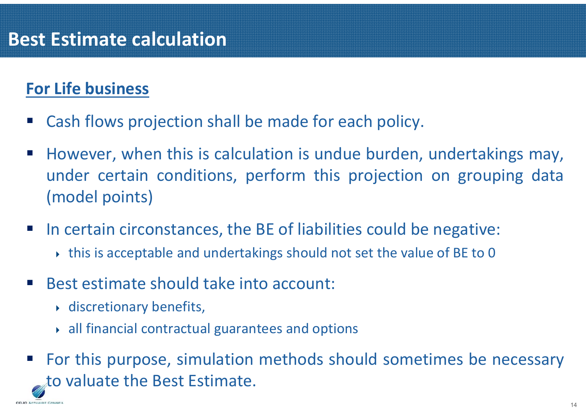#### **For Life business**

- P) Cash flows projection shall be made for each policy.
- $\mathcal{L}_{\mathcal{A}}$  However, when this is calculation is undue burden, undertakings may, under certain conditions, perform this projection on grouping data (model points)
- P) In certain circonstances, the BE of liabilities could be negative:
	- this is acceptable and undertakings should not set the value of BE to 0
- P) Best estimate should take into account:
	- discretionary benefits,

ODJO ACTUAIRE CONSEIL

- all financial contractual guarantees and options
- P) For this purpose, simulation methods should sometimes be necessary to valuate the Best Estimate.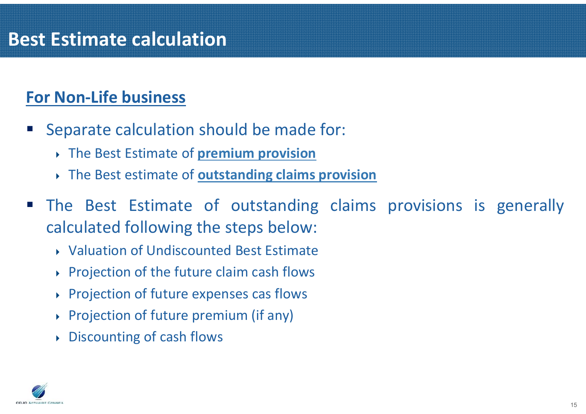#### **For Non-Life business**

- P) Separate calculation should be made for:
	- The Best Estimate of **premium provision**
	- The Best estimate of **outstanding claims provision**
- P) The Best Estimate of outstanding claims provisions is generally calculated following the steps below:
	- Valuation of Undiscounted Best Estimate
	- Projection of the future claim cash flows
	- Projection of future expenses cas flows
	- Projection of future premium (if any)
	- Discounting of cash flows

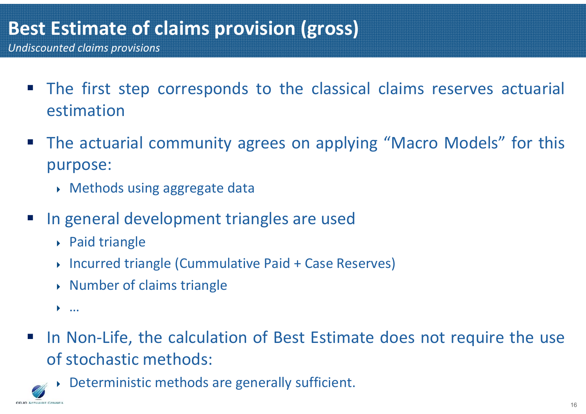- $\mathcal{L}_{\mathcal{A}}$  The first step corresponds to the classical claims reserves actuarial estimation
- $\mathcal{L}_{\mathcal{A}}$  The actuarial community agrees on applying "Macro Models" for this purpose:
	- Methods using aggregate data
- P) In general development triangles are used
	- Paid triangle
	- Incurred triangle (Cummulative Paid <sup>+</sup> Case Reserves)
	- Number of claims triangle
	- …

ODJO ACTUAIRE CONSEIL

- $\mathcal{L}_{\mathcal{A}}$  In Non-Life, the calculation of Best Estimate does not require the use of stochastic methods:
	- ▶ Deterministic methods are generally sufficient.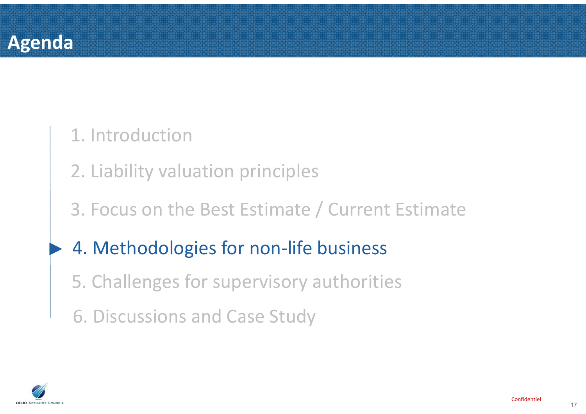

#### 1. Introduction

2. Liability valuation principles

#### 3. Focus on the Best Estimate / Current Estimate

#### ►4. Methodologies for non-life business

- 5. Challenges for supervisory authorities
- 6. Discussions and Case Study

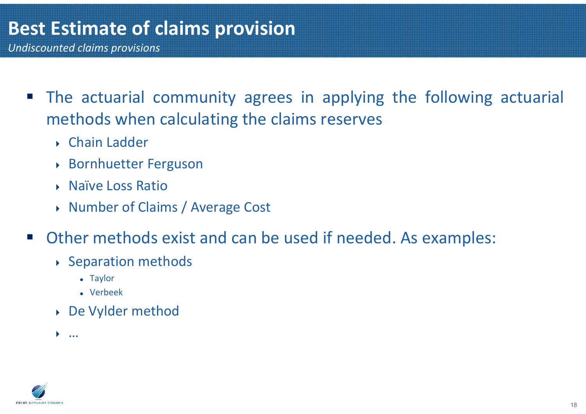- The actuarial community agrees in applying the following actuarial methods when calculating the claims reserves
	- Chain Ladder
	- Bornhuetter Ferguson
	- ▶ Naïve Loss Ratio
	- ▶ Number of Claims / Average Cost
- $\mathcal{L}^{\text{max}}$  Other methods exist and can be used if needed. As examples:
	- Separation methods
		- Taylor
		- Verbeek
	- De Vylder method
	- …

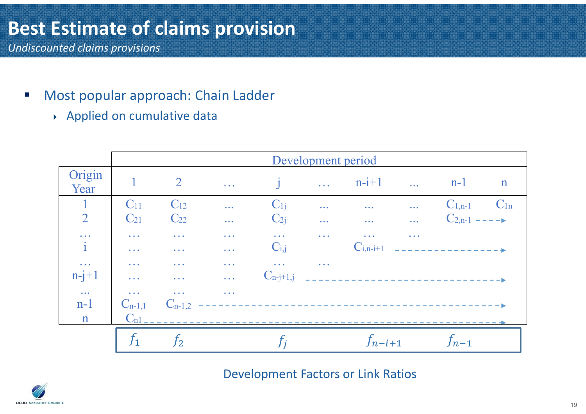- $\overline{\phantom{a}}$  Most popular approach: Chain Ladder
	- Applied on cumulative data

|                                   | Development period                           |                           |                           |                           |              |                             |              |                                        |              |
|-----------------------------------|----------------------------------------------|---------------------------|---------------------------|---------------------------|--------------|-----------------------------|--------------|----------------------------------------|--------------|
| Origin<br>Year                    |                                              | $\overline{2}$            | $\sim 10$                 | $\mathbf{i}$              | $\mathbf{L}$ | $n-i+1$                     | $\mathbf{L}$ | $n-1$                                  | $\mathbf{n}$ |
| $\mathbf{1}$                      | C <sub>11</sub>                              | $C_{12}$                  | $\ddotsc$                 | $C_{1i}$                  | $\ddotsc$    | $\ddotsc$                   | $\ddotsc$    | $C_{1,n-1}$                            | $C_{1n}$     |
| $\overline{2}$                    | $C_{21}$                                     | $C_{22}$                  | $\ddotsc$                 | $C_{2i}$                  | $\ddotsc$    | $\sim 100$                  |              | $C_{2,n-1}$ ----                       |              |
| $\ddotsc$<br>$\mathbf{i}$         | $\sim$ $\sim$ $\sim$<br>$\sim$ $\sim$ $\sim$ | $\sim$ $\sim$ $\sim$      | .<br>$\sim$ $\sim$ $\sim$ | $\mathbf{1}$<br>$C_{i,j}$ | $\sim 10$    | $\sim 100$<br>$C_{i,n-i+1}$ | $\sim 100$   | the first state and the control of the |              |
| $\overline{\mathcal{L}}$ .        | $\sim$ $\sim$ $\sim$                         | $\sim$ $\sim$ $\sim$      | $\sim$ $\sim$ $\sim$      | $\sim$ $\sim$ $\sim$      | $\sim 100$   |                             |              |                                        |              |
| $n-j+1$                           | $\sim 10$                                    | $\omega$ . $\omega$       | $\omega_{\rm{max}}$       | $C_{n-j+1,j}$             |              |                             |              |                                        |              |
| $\ddotsc$<br>$n-1$<br>$\mathbf n$ | $\sim 10$ .<br>$C_{n-1,1}$<br>$C_{n1}$       | $\sim 100$<br>$C_{n-1,2}$ | $\sim 100$                |                           |              |                             |              |                                        |              |
|                                   |                                              |                           |                           |                           |              |                             |              |                                        |              |
|                                   | $f_1$                                        | $\mathfrak{f}_2$          |                           |                           |              | $f_{n-i+1}$                 |              | $f_{n-1}$                              |              |

Development Factors or Link Ratios

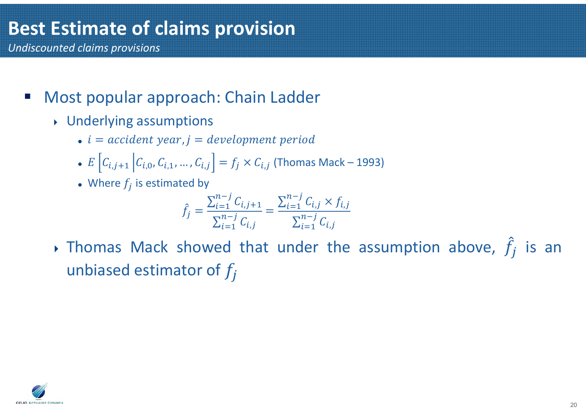- $\mathcal{L}_{\mathcal{A}}$  Most popular approach: Chain Ladder
	- Underlying assumptions
		- $\bullet$  i = accident year,  $j =$  development period
		- $E\left[C_{i,j+1} \left|C_{i,0}, C_{i,1}, \ldots, C_{i,j}\right.\right] = f_j \times C_{i,j}$  (Thomas Mack 1993)
		- Where  $f_j$  is estimated by

$$
\hat{f}_j = \frac{\sum_{i=1}^{n-j} C_{i,j+1}}{\sum_{i=1}^{n-j} C_{i,j}} = \frac{\sum_{i=1}^{n-j} C_{i,j} \times f_{i,j}}{\sum_{i=1}^{n-j} C_{i,j}}
$$

 $\rightarrow$  Thomas Mack showed that under the assumption above,  $\hat{f}_j$  is an unbiased estimator of  $f_j$ 

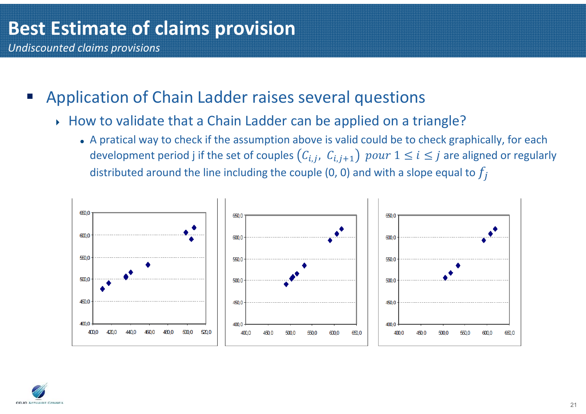- $\mathcal{L}_{\mathcal{A}}$  Application of Chain Ladder raises several questions
	- How to validate that a Chain Ladder can be applied on a triangle?
		- A pratical way to check if the assumption above is valid could be to check graphically, for each development period j if the set of couples  $(\mathcal{C}_{i,j},\;\mathcal{C}_{i,j+1})\; \mathit{pour}\;1 \leq i \leq j$  are aligned or regularly distributed around the line including the couple (0, 0) and with a slope equal to  $f_j$



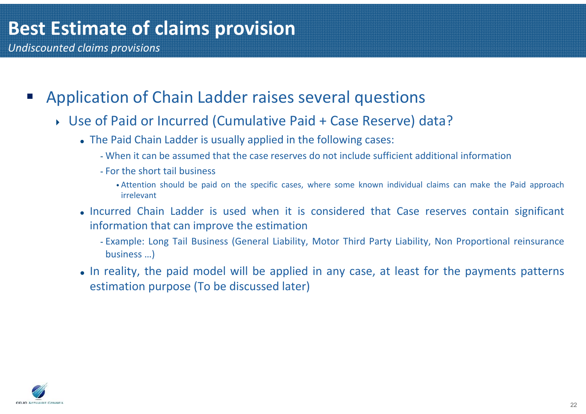- $\mathcal{L}_{\mathcal{A}}$  Application of Chain Ladder raises several questions
	- Use of Paid or Incurred (Cumulative Paid <sup>+</sup> Case Reserve) data?
		- The Paid Chain Ladder is usually applied in the following cases:
			- When it can be assumed that the case reserves do not include sufficient additional information
			- For the short tail business
				- Attention should be paid on the specific cases, where some known individual claims can make the Paid approach irrelevant
		- Incurred Chain Ladder is used when it is considered that Case reserves contain significant information that can improve the estimation
			- Example: Long Tail Business (General Liability, Motor Third Party Liability, Non Proportional reinsurance business …)
		- In reality, the paid model will be applied in any case, at least for the payments patterns estimation purpose (To be discussed later)

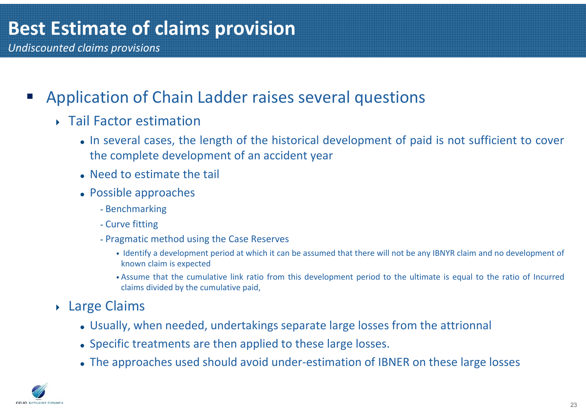- $\mathcal{L}_{\mathcal{A}}$  Application of Chain Ladder raises several questions
	- ▶ Tail Factor estimation
		- In several cases, the length of the historical development of paid is not sufficient to cover the complete development of an accident year
		- Need to estimate the tail
		- Possible approaches
			- Benchmarking
			- Curve fitting
			- Pragmatic method using the Case Reserves
				- Identify <sup>a</sup> development period at which it can be assumed that there will not be any IBNYR claim and no development of known claim is expected
				- Assume that the cumulative link ratio from this development period to the ultimate is equal to the ratio of Incurred claims divided by the cumulative paid,
	- Large Claims
		- Usually, when needed, undertakings separate large losses from the attrionnal
		- Specific treatments are then applied to these large losses.
		- The approaches used should avoid under-estimation of IBNER on these large losses

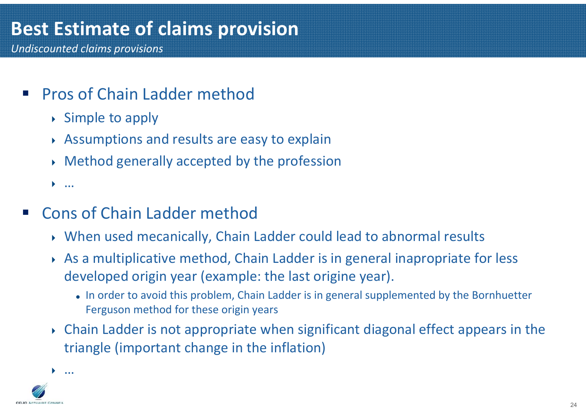# **Best Estimate of claims provision**

*Undiscounted claims provisions*

- P) **Pros of Chain Ladder method** 
	- $\rightarrow$  Simple to apply
	- Assumptions and results are easy to explain
	- Method generally accepted by the profession

…

- P) Cons of Chain Ladder method
	- When used mecanically, Chain Ladder could lead to abnormal results
	- As a multiplicative method, Chain Ladder is in general inapropriate for less developed origin year (example: the last origine year).
		- In order to avoid this problem, Chain Ladder is in general supplemented by the Bornhuetter Ferguson method for these origin years
	- Chain Ladder is not appropriate when significant diagonal effect appears in the triangle (important change in the inflation)



 $\blacktriangleright$ …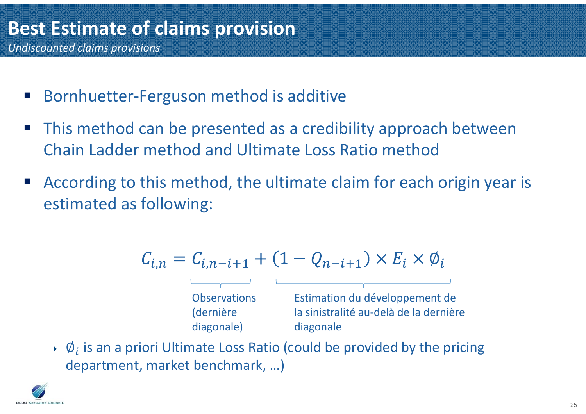- Bornhuetter-Ferguson method is additive
- This method can be presented as a credibility approach between Chain Ladder method and Ultimate Loss Ratio method
- According to this method, the ultimate claim for each origin year is estimated as following:

$$
C_{i,n} = C_{i,n-i+1} + (1 - Q_{n-i+1}) \times E_i \times \emptyset_i
$$

**Observations** (dernière diagonale) Estimation du développement de la sinistralité au-delà de la dernière diagonale

 $\phi$   $\emptyset$  is an a priori Ultimate Loss Ratio (could be provided by the pricing department, market benchmark, …)

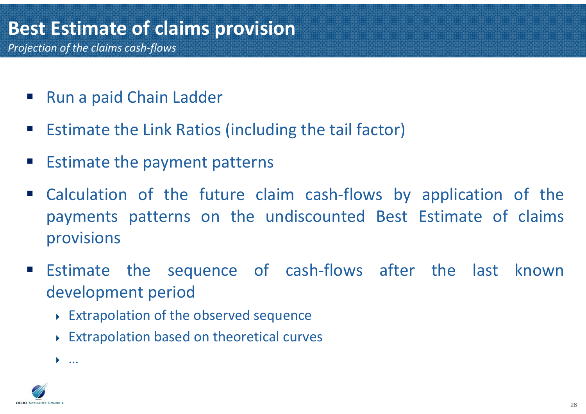- $\mathcal{L}_{\mathcal{A}}$ Run <sup>a</sup> paid Chain Ladder
- $\mathcal{L}_{\mathcal{A}}$ Estimate the Link Ratios (including the tail factor)
- $\mathbb{Z}$ Estimate the payment patterns
- $\mathcal{L}_{\mathcal{A}}$  Calculation of the future claim cash-flows by application of the payments patterns on the undiscounted Best Estimate of claims provisions
- $\mathcal{L}_{\mathrm{max}}$  Estimate the sequence of cash-flows after the last known development period
	- Extrapolation of the observed sequence
	- Extrapolation based on theoretical curves



 $\blacktriangleright$ …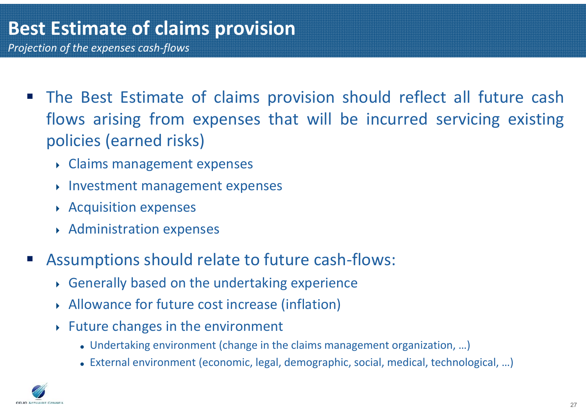- *Projection of the expenses cash-flows*
	- $\mathcal{L}_{\mathcal{A}}$  The Best Estimate of claims provision should reflect all future cash flows arising from expenses that will be incurred servicing existing policies (earned risks)
		- Claims management expenses
		- Investment management expenses
		- Acquisition expenses
		- Administration expenses
	- P) Assumptions should relate to future cash-flows:
		- Generally based on the undertaking experience
		- Allowance for future cost increase (inflation)
		- $\rightarrow$  Future changes in the environment
			- Undertaking environment (change in the claims management organization, …)
			- External environment (economic, legal, demographic, social, medical, technological, …)

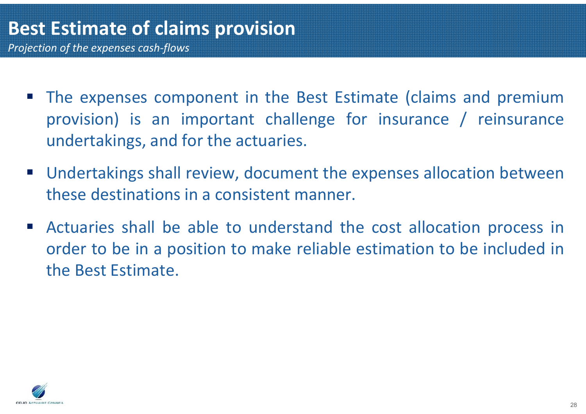- **The expenses component in the Best Estimate (claims and premium** provision) is an important challenge for insurance / reinsurance undertakings, and for the actuaries.
- Undertakings shall review, document the expenses allocation between these destinations in a consistent manner.
- $\mathcal{L}(\mathcal{A})$  Actuaries shall be able to understand the cost allocation process in order to be in <sup>a</sup> position to make reliable estimation to be included in the Best Estimate.

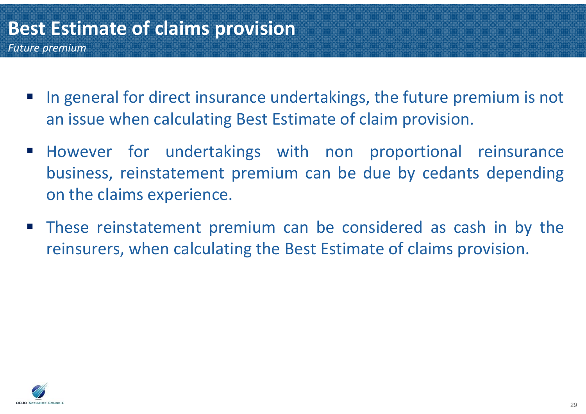- P) In general for direct insurance undertakings, the future premium is not an issue when calculating Best Estimate of claim provision.
- **However for undertakings with non proportional reinsurance** business, reinstatement premium can be due by cedants depending on the claims experience.
- $\mathcal{L}^{\mathcal{L}}$  These reinstatement premium can be considered as cash in by the reinsurers, when calculating the Best Estimate of claims provision.

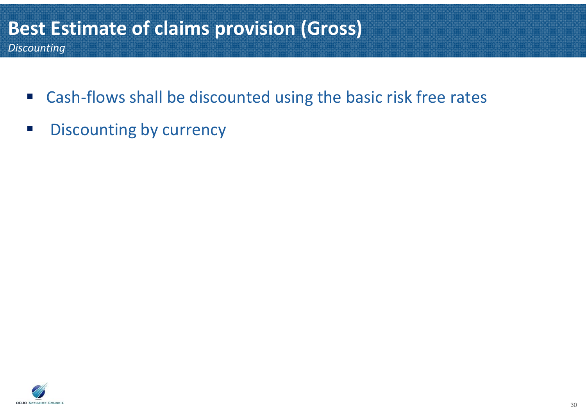#### **Best Estimate of claims provision (Gross)** *Discounting*

- $\overline{\mathbb{R}^n}$ Cash-flows shall be discounted using the basic risk free rates
- $\mathbb{R}^n$ Discounting by currency

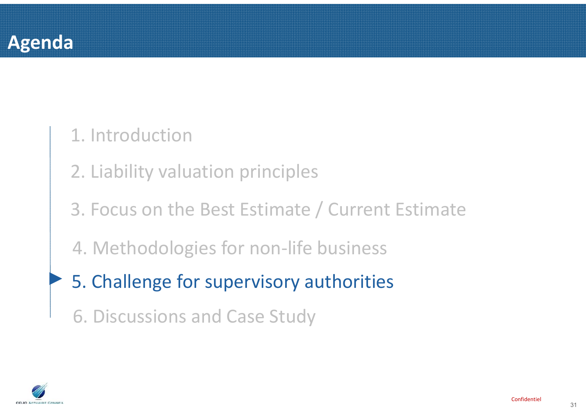## 1. Introduction

- 2. Liability valuation principles
- 3. Focus on the Best Estimate / Current Estimate
- 4. Methodologies for non-life business
- ►5. Challenge for supervisory authorities
	- 6. Discussions and Case Study

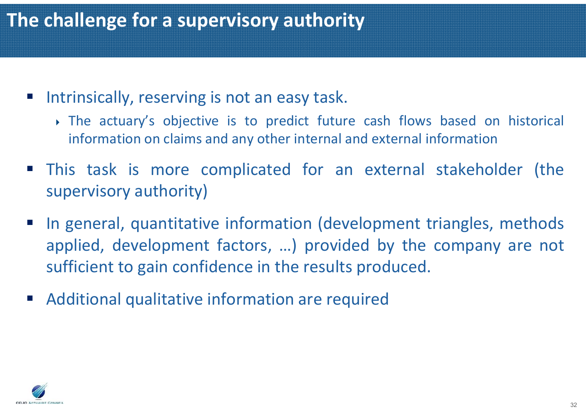## **The challenge for a supervisory authority**

- P) Intrinsically, reserving is not an easy task.
	- The actuary's objective is to predict future cash flows based on historical information on claims and any other internal and external information
- This task is more complicated for an external stakeholder (the supervisory authority)
- In general, quantitative information (development triangles, methods applied, development factors, …) provided by the company are not sufficient to gain confidence in the results produced.
- P) Additional qualitative information are required

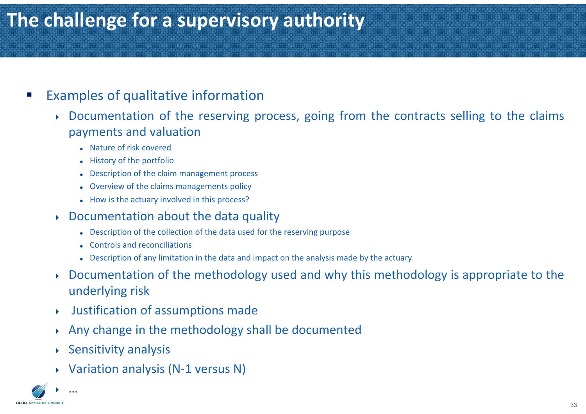## **The challenge for a supervisory authority**

#### $\mathbb{R}^n$ Examples of qualitative information

- ▶ Documentation of the reserving process, going from the contracts selling to the claims payments and valuation
	- Nature of risk covered
	- History of the portfolio
	- Description of the claim management process
	- Overview of the claims managements policy
	- How is the actuary involved in this process?

#### ▶ Documentation about the data quality

- Description of the collection of the data used for the reserving purpose
- Controls and reconciliations
- Description of any limitation in the data and impact on the analysis made by the actuary
- ▶ Documentation of the methodology used and why this methodology is appropriate to the underlying risk
- ▶ Justification of assumptions made
- ▶ Any change in the methodology shall be documented
- Sensitivity analysis
- Variation analysis (N-1 versus N)

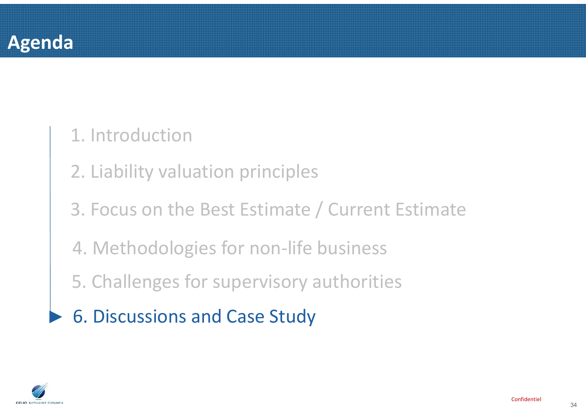

#### 1. Introduction

- 2. Liability valuation principles
- 3. Focus on the Best Estimate / Current Estimate
- 4. Methodologies for non-life business
- 5. Challenges for supervisory authorities
- ►6. Discussions and Case Study

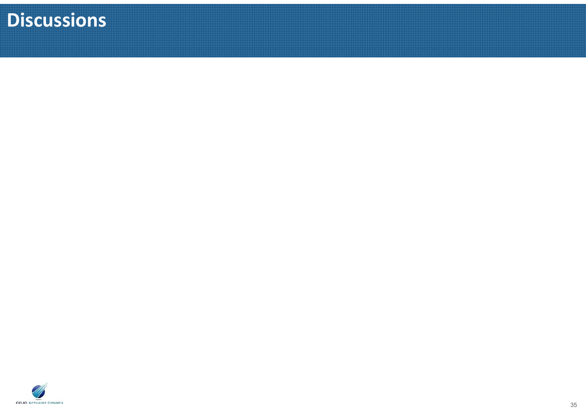## **Discussions**

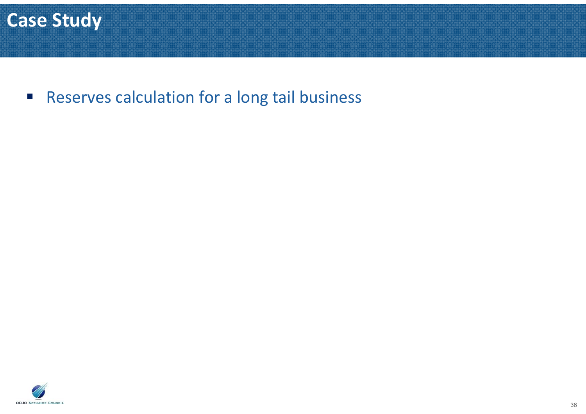

Reserves calculation for <sup>a</sup> long tail business